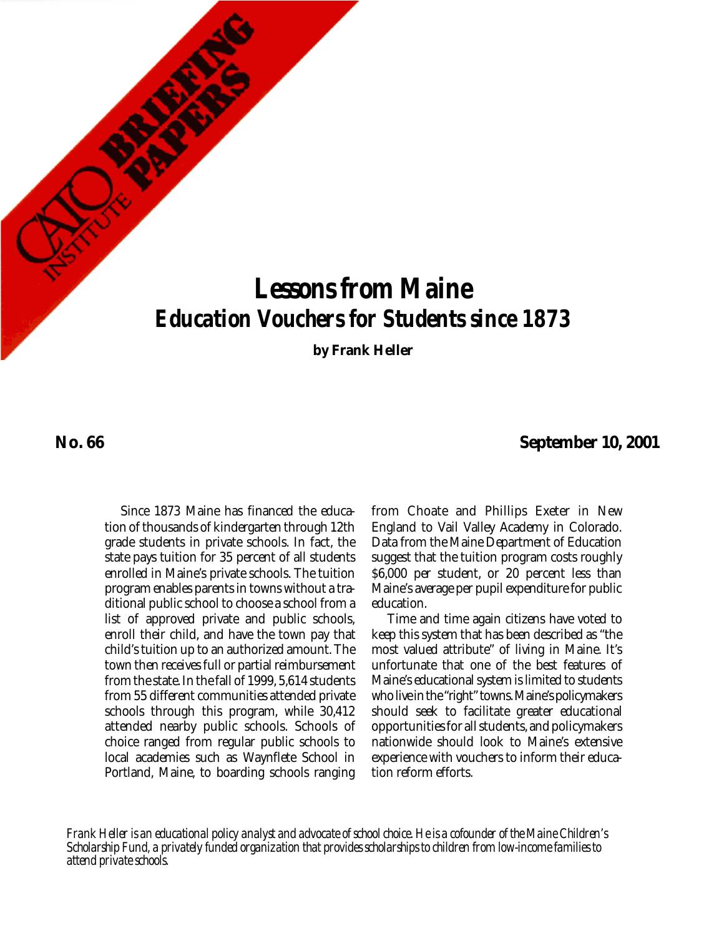# *Lessons from Maine Education Vouchers for Students since 1873*

**by Frank Heller**

**No. 66**

**September 10, 2001**

Since 1873 Maine has financed the education of thousands of kindergarten through 12th grade students in private schools. In fact, the state pays tuition for 35 percent of all students enrolled in Maine's private schools. The tuition program enables parents in towns without a traditional public school to choose a school from a list of approved private and public schools, enroll their child, and have the town pay that child's tuition up to an authorized amount. The town then receives full or partial reimbursement from the state. In the fall of 1999, 5,614 students from 55 different communities attended private schools through this program, while 30,412 attended nearby public schools. Schools of choice ranged from regular public schools to local academies such as Waynflete School in Portland, Maine, to boarding schools ranging

from Choate and Phillips Exeter in New England to Vail Valley Academy in Colorado. Data from the Maine Department of Education suggest that the tuition program costs roughly \$6,000 per student, or 20 percent less than Maine's average per pupil expenditure for public education.

Time and time again citizens have voted to keep this system that has been described as "the most valued attribute" of living in Maine. It's unfortunate that one of the best features of Maine's educational system is limited to students who live in the "right" towns. Maine's policymakers should seek to facilitate greater educational opportunities for all students, and policymakers nationwide should look to Maine's extensive experience with vouchers to inform their education reform efforts.

*Frank Heller is an educational policy analyst and advocate of school choice. He is a cofounder of the Maine Children's Scholarship Fund, a privately funded organization that provides scholarships to children from low-income families to attend private schools.*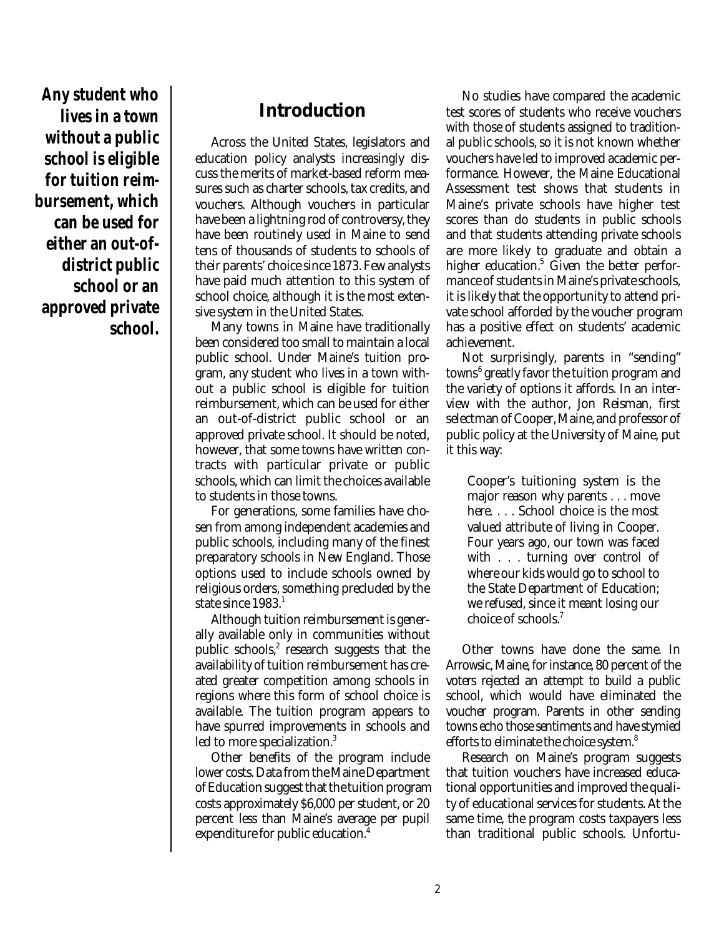**Any student who lives in a town without a public school is eligible for tuition reimbursement, which can be used for either an out-ofdistrict public school or an approved private school.** 

# **Introduction**

Across the United States, legislators and education policy analysts increasingly discuss the merits of market-based reform measures such as charter schools, tax credits, and vouchers. Although vouchers in particular have been a lightning rod of controversy, they have been routinely used in Maine to send tens of thousands of students to schools of their parents' choice since 1873. Few analysts have paid much attention to this system of school choice, although it is the most extensive system in the United States.

Many towns in Maine have traditionally been considered too small to maintain a local public school. Under Maine's tuition program, any student who lives in a town without a public school is eligible for tuition reimbursement, which can be used for either an out-of-district public school or an approved private school. It should be noted, however, that some towns have written contracts with particular private or public schools, which can limit the choices available to students in those towns.

For generations, some families have chosen from among independent academies and public schools, including many of the finest preparatory schools in New England. Those options used to include schools owned by religious orders, something precluded by the state since 1983. 1

Although tuition reimbursement is generally available only in communities without public schools, $^2$  research suggests that the availability of tuition reimbursement has created greater competition among schools in regions where this form of school choice is available. The tuition program appears to have spurred improvements in schools and led to more specialization.<sup>3</sup>

Other benefits of the program include lower costs. Data from the Maine Department of Education suggest that the tuition program costs approximately \$6,000 per student, or 20 percent less than Maine's average per pupil expenditure for public education. 4

No studies have compared the academic test scores of students who receive vouchers with those of students assigned to traditional public schools, so it is not known whether vouchers have led to improved academic performance. However, the Maine Educational Assessment test shows that students in Maine's private schools have higher test scores than do students in public schools and that students attending private schools are more likely to graduate and obtain a higher education.<sup>5</sup> Given the better performance of students in Maine's private schools, it is likely that the opportunity to attend private school afforded by the voucher program has a positive effect on students' academic achievement.

Not surprisingly, parents in "sending" towns 6 greatly favor the tuition program and the variety of options it affords. In an interview with the author, Jon Reisman, first selectman of Cooper, Maine, and professor of public policy at the University of Maine, put it this way:

Cooper's tuitioning system is the major reason why parents . . . move here. . . . School choice is the most valued attribute of living in Cooper. Four years ago, our town was faced with . . . turning over control of where our kids would go to school to the State Department of Education; we refused, since it meant losing our choice of schools. 7

Other towns have done the same. In Arrowsic, Maine, for instance, 80 percent of the voters rejected an attempt to build a public school, which would have eliminated the voucher program. Parents in other sending towns echo those sentiments and have stymied efforts to eliminate the choice system. $^8$ 

Research on Maine's program suggests that tuition vouchers have increased educational opportunities and improved the quality of educational services for students. At the same time, the program costs taxpayers less than traditional public schools. Unfortu-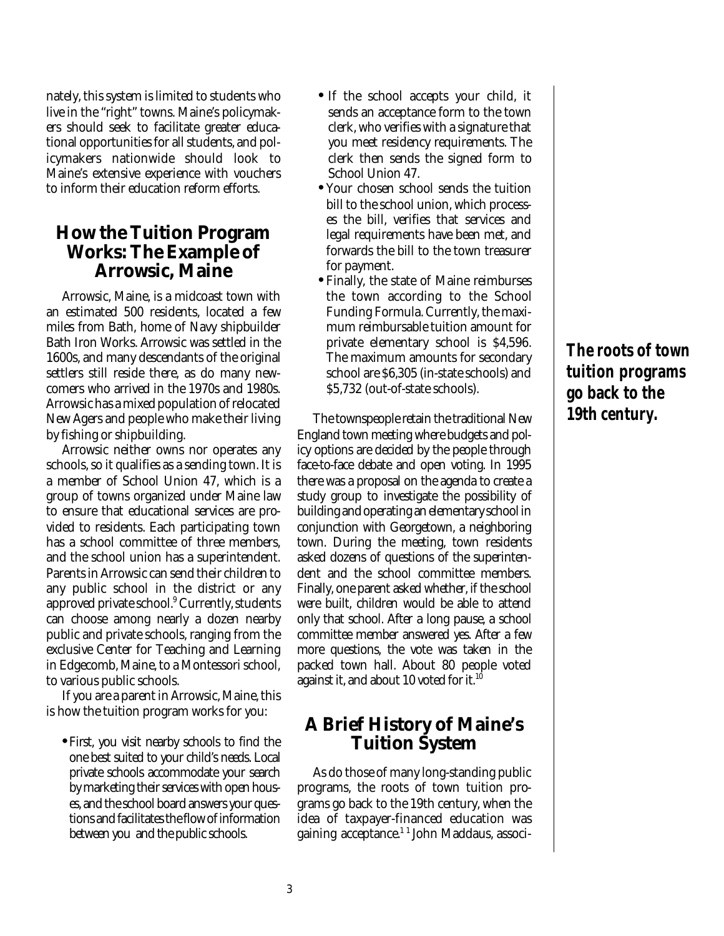nately, this system is limited to students who live in the "right" towns. Maine's policymakers should seek to facilitate greater educational opportunities for all students, and policymakers nationwide should look to Maine's extensive experience with vouchers to inform their education reform efforts.

## **How the Tuition Program Works: The Example of Arrowsic, Maine**

Arrowsic, Maine, is a midcoast town with an estimated 500 residents, located a few miles from Bath, home of Navy shipbuilder Bath Iron Works. Arrowsic was settled in the 1600s, and many descendants of the original settlers still reside there, as do many newcomers who arrived in the 1970s and 1980s. Arrowsic has a mixed population of relocated New Agers and people who make their living by fishing or shipbuilding.

Arrowsic neither owns nor operates any schools, so it qualifies as a sending town. It is a member of School Union 47, which is a group of towns organized under Maine law to ensure that educational services are provided to residents. Each participating town has a school committee of three members, and the school union has a superintendent. Parents in Arrowsic can send their children to any public school in the district or any approved private school.<sup>9</sup> Currently, students can choose among nearly a dozen nearby public and private schools, ranging from the exclusive Center for Teaching and Learning in Edgecomb, Maine, to a Montessori school, to various public schools.

If you are a parent in Arrowsic, Maine, this is how the tuition program works for you:

•First, you visit nearby schools to find the one best suited to your child's needs. Local private schools accommodate your search by marketing their services with open houses, and the school board answers your questions and facilitates the flow of information between you and the public schools.

- If the school accepts your child, it sends an acceptance form to the town clerk, who verifies with a signature that you meet residency requirements. The clerk then sends the signed form to School Union 47.
- Your chosen school sends the tuition bill to the school union, which processes the bill, verifies that services and legal requirements have been met, and forwards the bill to the town treasurer for payment.
- Finally, the state of Maine reimburses the town according to the School Funding Formula. Currently, the maximum reimbursable tuition amount for private elementary school is \$4,596. The maximum amounts for secondary school are \$6,305 (in-state schools) and \$5,732 (out-of-state schools).

The townspeople retain the traditional New England town meeting where budgets and policy options are decided by the people through face-to-face debate and open voting. In 1995 there was a proposal on the agenda to create a study group to investigate the possibility of building and operating an elementary school in conjunction with Georgetown, a neighboring town. During the meeting, town residents asked dozens of questions of the superintendent and the school committee members. Finally, one parent asked whether, if the school were built, children would be able to attend only that school. After a long pause, a school committee member answered yes. After a few more questions, the vote was taken in the packed town hall. About 80 people voted against it, and about 10 voted for it. $^\mathrm{10}$ 

# **A Brief History of Maine's Tuition System**

As do those of many long-standing public programs, the roots of town tuition programs go back to the 19th century, when the idea of taxpayer-financed education was gaining acceptance. 1 1 John Maddaus, associ-

**The roots of town tuition programs go back to the 19th century.**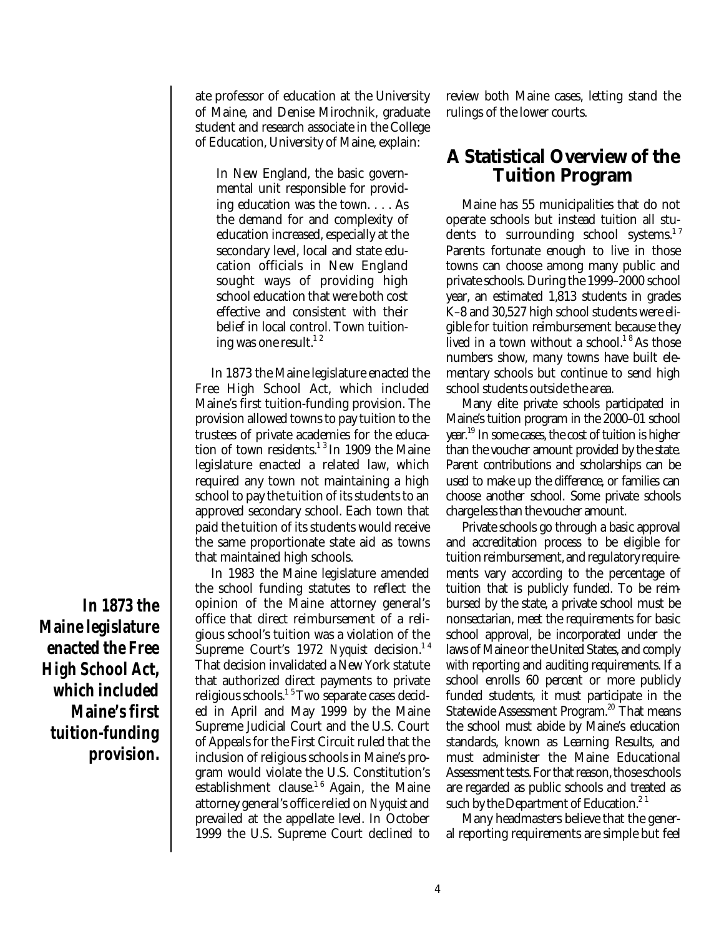ate professor of education at the University of Maine, and Denise Mirochnik, graduate student and research associate in the College of Education, University of Maine, explain:

In New England, the basic governmental unit responsible for providing education was the town. . . . As the demand for and complexity of education increased, especially at the secondary level, local and state education officials in New England sought ways of providing high school education that were both cost effective and consistent with their belief in local control. Town tuitioning was one result.<sup>12</sup>

In 1873 the Maine legislature enacted the Free High School Act, which included Maine's first tuition-funding provision. The provision allowed towns to pay tuition to the trustees of private academies for the education of town residents. $13$  In 1909 the Maine legislature enacted a related law, which required any town not maintaining a high school to pay the tuition of its students to an approved secondary school. Each town that paid the tuition of its students would receive the same proportionate state aid as towns that maintained high schools.

In 1983 the Maine legislature amended the school funding statutes to reflect the opinion of the Maine attorney general's office that direct reimbursement of a religious school's tuition was a violation of the Supreme Court's 1972 *Nyquist* decision. 1 4 That decision invalidated a New York statute that authorized direct payments to private religious schools.<sup>15</sup> Two separate cases decided in April and May 1999 by the Maine Supreme Judicial Court and the U.S. Court of Appeals for the First Circuit ruled that the inclusion of religious schools in Maine's program would violate the U.S. Constitution's establishment clause.<sup>16</sup> Again, the Maine attorney general's office relied on *Nyquist* and prevailed at the appellate level. In October 1999 the U.S. Supreme Court declined to

review both Maine cases, letting stand the rulings of the lower courts.

## **A Statistical Overview of the Tuition Program**

Maine has 55 municipalities that do not operate schools but instead tuition all students to surrounding school systems. $^{17}$ Parents fortunate enough to live in those towns can choose among many public and private schools. During the 1999–2000 school year, an estimated 1,813 students in grades K–8 and 30,527 high school students were eligible for tuition reimbursement because they lived in a town without a school.<sup>18</sup> As those numbers show, many towns have built elementary schools but continue to send high school students outside the area.

Many elite private schools participated in Maine's tuition program in the 2000–01 school year.<sup>19</sup> In some cases, the cost of tuition is higher than the voucher amount provided by the state. Parent contributions and scholarships can be used to make up the difference, or families can choose another school. Some private schools charge less than the voucher amount.

Private schools go through a basic approval and accreditation process to be eligible for tuition reimbursement, and regulatory requirements vary according to the percentage of tuition that is publicly funded. To be reimbursed by the state, a private school must be nonsectarian, meet the requirements for basic school approval, be incorporated under the laws of Maine or the United States, and comply with reporting and auditing requirements. If a school enrolls 60 percent or more publicly funded students, it must participate in the Statewide Assessment Program.<sup>20</sup> That means the school must abide by Maine's education standards, known as Learning Results, and must administer the Maine Educational Assessment tests. For that reason, those schools are regarded as public schools and treated as such by the Department of Education. $2^1$ 

Many headmasters believe that the general reporting requirements are simple but feel

**In 1873 the Maine legislature enacted the Free High School Act, which included Maine's first tuition-funding provision.**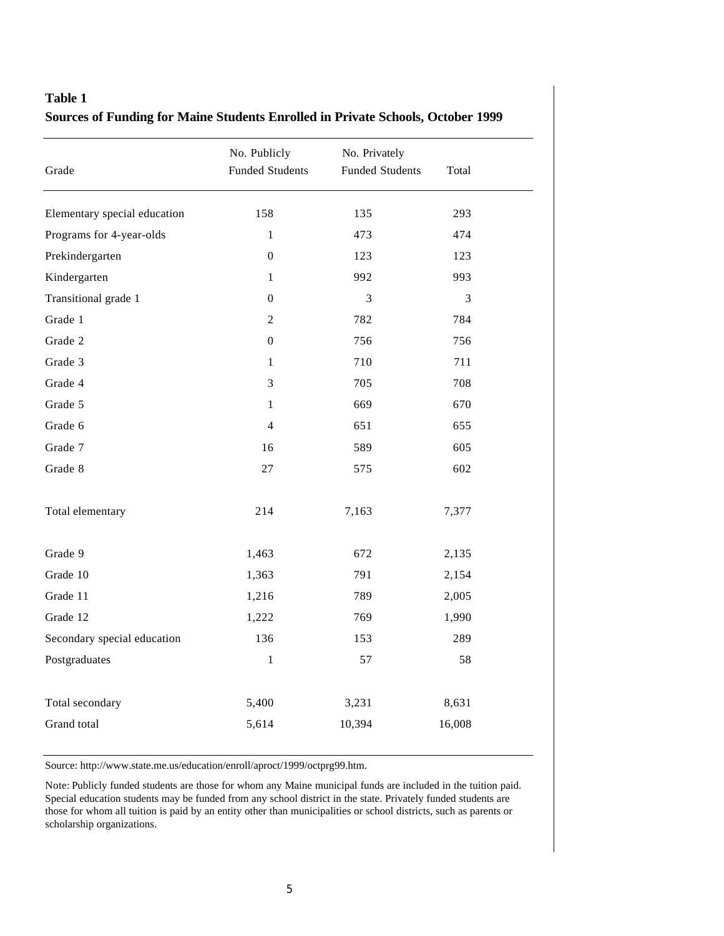#### **Table 1 Sources of Funding for Maine Students Enrolled in Private Schools, October 1999**

| Grade                        | No. Publicly<br><b>Funded Students</b> | No. Privately<br><b>Funded Students</b> | Total  |
|------------------------------|----------------------------------------|-----------------------------------------|--------|
| Elementary special education | 158                                    | 135                                     | 293    |
| Programs for 4-year-olds     | $\mathbf{1}$                           | 473                                     | 474    |
| Prekindergarten              | $\boldsymbol{0}$                       | 123                                     | 123    |
| Kindergarten                 | 1                                      | 992                                     | 993    |
| Transitional grade 1         | 0                                      | 3                                       | 3      |
| Grade 1                      | $\overline{c}$                         | 782                                     | 784    |
| Grade 2                      | 0                                      | 756                                     | 756    |
| Grade 3                      | 1                                      | 710                                     | 711    |
| Grade 4                      | 3                                      | 705                                     | 708    |
| Grade 5                      | $\mathbf{1}$                           | 669                                     | 670    |
| Grade 6                      | 4                                      | 651                                     | 655    |
| Grade 7                      | 16                                     | 589                                     | 605    |
| Grade 8                      | 27                                     | 575                                     | 602    |
| Total elementary             | 214                                    | 7,163                                   | 7,377  |
| Grade 9                      | 1,463                                  | 672                                     | 2,135  |
| Grade 10                     | 1,363                                  | 791                                     | 2,154  |
| Grade 11                     | 1,216                                  | 789                                     | 2,005  |
| Grade 12                     | 1,222                                  | 769                                     | 1,990  |
| Secondary special education  | 136                                    | 153                                     | 289    |
| Postgraduates                | $\mathbf{1}$                           | 57                                      | 58     |
| Total secondary              | 5,400                                  | 3,231                                   | 8,631  |
| Grand total                  | 5,614                                  | 10,394                                  | 16,008 |

Source: http://www.state.me.us/education/enroll/aproct/1999/octprg99.htm.

Note: Publicly funded students are those for whom any Maine municipal funds are included in the tuition paid. Special education students may be funded from any school district in the state. Privately funded students are those for whom all tuition is paid by an entity other than municipalities or school districts, such as parents or scholarship organizations.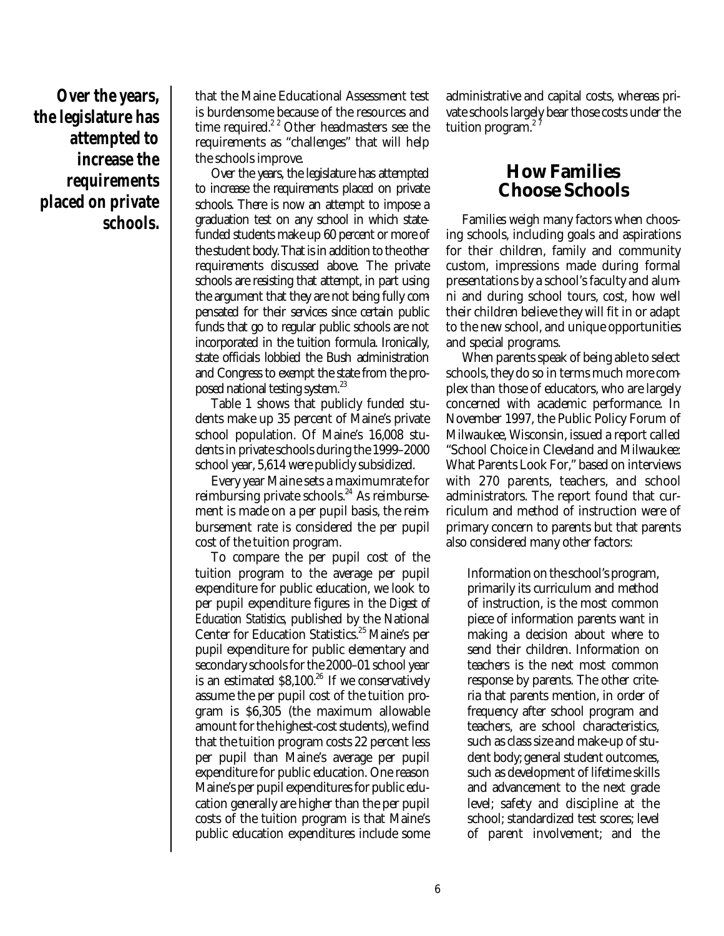**Over the years, the legislature has attempted to increase the requirements placed on private schools.**

that the Maine Educational Assessment test is burdensome because of the resources and time required.<sup>22</sup> Other headmasters see the requirements as "challenges" that will help the schools improve.

Over the years, the legislature has attempted to increase the requirements placed on private schools. There is now an attempt to impose a graduation test on any school in which statefunded students make up 60 percent or more of the student body. That is in addition to the other requirements discussed above. The private schools are resisting that attempt, in part using the argument that they are not being fully compensated for their services since certain public funds that go to regular public schools are not incorporated in the tuition formula. Ironically, state officials lobbied the Bush administration and Congress to exempt the state from the proposed national testing system.<sup>23</sup>

Table 1 shows that publicly funded students make up 35 percent of Maine's private school population. Of Maine's 16,008 students in private schools during the 1999–2000 school year, 5,614 were publicly subsidized.

Every year Maine sets a maximumrate for reimbursing private schools.<sup>24</sup> As reimbursement is made on a per pupil basis, the reimbursement rate is considered the per pupil cost of the tuition program.

To compare the per pupil cost of the tuition program to the average per pupil expenditure for public education, we look to per pupil expenditure figures in the *Digest of Education Statistics,* published by the National Center for Education Statistics.<sup>25</sup> Maine's per pupil expenditure for public elementary and secondary schools for the 2000–01 school year is an estimated \$8,100. 26 If we conservatively assume the per pupil cost of the tuition program is \$6,305 (the maximum allowable amount for the highest-cost students), we find that the tuition program costs 22 percent less per pupil than Maine's average per pupil expenditure for public education. One reason Maine's per pupil expenditures for public education generally are higher than the per pupil costs of the tuition program is that Maine's public education expenditures include some

administrative and capital costs, whereas private schools largely bear those costs under the tuition program.<sup>27</sup>

## **How Families Choose Schools**

Families weigh many factors when choosing schools, including goals and aspirations for their children, family and community custom, impressions made during formal presentations by a school's faculty and alumni and during school tours, cost, how well their children believe they will fit in or adapt to the new school, and unique opportunities and special programs.

When parents speak of being able to select schools, they do so in terms much more complex than those of educators, who are largely concerned with academic performance. In November 1997, the Public Policy Forum of Milwaukee, Wisconsin, issued a report called "School Choice in Cleveland and Milwaukee: What Parents Look For," based on interviews with 270 parents, teachers, and school administrators. The report found that curriculum and method of instruction were of primary concern to parents but that parents also considered many other factors:

Information on the school's program, primarily its curriculum and method of instruction, is the most common piece of information parents want in making a decision about where to send their children. Information on teachers is the next most common response by parents. The other criteria that parents mention, in order of frequency after school program and teachers, are school characteristics, such as class size and make-up of student body; general student outcomes, such as development of lifetime skills and advancement to the next grade level; safety and discipline at the school; standardized test scores; level of parent involvement; and the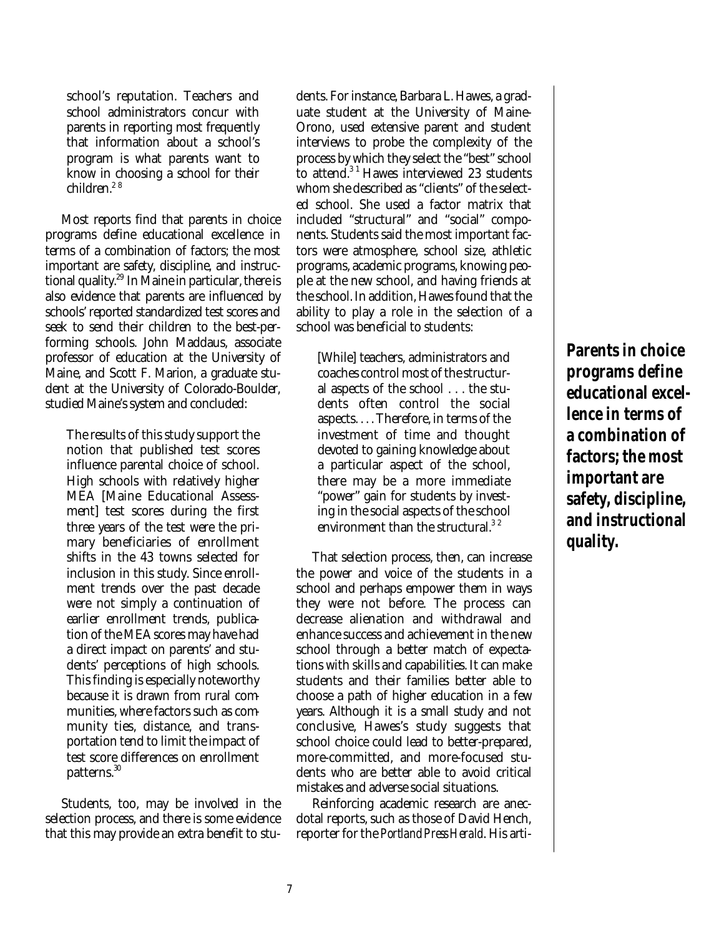school's reputation. Teachers and school administrators concur with parents in reporting most frequently that information about a school's program is what parents want to know in choosing a school for their children.<sup>28</sup>

Most reports find that parents in choice programs define educational excellence in terms of a combination of factors; the most important are safety, discipline, and instructional quality. 29 In Maine in particular, there is also evidence that parents are influenced by schools' reported standardized test scores and seek to send their children to the best-performing schools. John Maddaus, associate professor of education at the University of Maine, and Scott F. Marion, a graduate student at the University of Colorado-Boulder, studied Maine's system and concluded:

The results of this study support the notion that published test scores influence parental choice of school. High schools with relatively higher MEA [Maine Educational Assessment] test scores during the first three years of the test were the primary beneficiaries of enrollment shifts in the 43 towns selected for inclusion in this study. Since enrollment trends over the past decade were not simply a continuation of earlier enrollment trends, publication of the MEA scores may have had a direct impact on parents' and students' perceptions of high schools. This finding is especially noteworthy because it is drawn from rural communities, where factors such as community ties, distance, and transportation tend to limit the impact of test score differences on enrollment patterns. 30

Students, too, may be involved in the selection process, and there is some evidence that this may provide an extra benefit to stu-

dents. For instance, Barbara L. Hawes, a graduate student at the University of Maine-Orono, used extensive parent and student interviews to probe the complexity of the process by which they select the "best" school to attend.<sup>31</sup> Hawes interviewed 23 students whom she described as "clients" of the selected school. She used a factor matrix that included "structural" and "social" components. Students said the most important factors were atmosphere, school size, athletic programs, academic programs, knowing people at the new school, and having friends at the school. In addition, Hawes found that the ability to play a role in the selection of a school was beneficial to students:

[While] teachers, administrators and coaches control most of the structural aspects of the school . . . the students often control the social aspects. . . . Therefore, in terms of the investment of time and thought devoted to gaining knowledge about a particular aspect of the school, there may be a more immediate "power" gain for students by investing in the social aspects of the school environment than the structural.<sup>32</sup>

That selection process, then, can increase the power and voice of the students in a school and perhaps empower them in ways they were not before. The process can decrease alienation and withdrawal and enhance success and achievement in the new school through a better match of expectations with skills and capabilities. It can make students and their families better able to choose a path of higher education in a few years. Although it is a small study and not conclusive, Hawes's study suggests that school choice could lead to better-prepared, more-committed, and more-focused students who are better able to avoid critical mistakes and adverse social situations.

Reinforcing academic research are anecdotal reports, such as those of David Hench, reporter for the *Portland Press Herald*. His arti**Parents in choice programs define educational excellence in terms of a combination of factors; the most important are safety, discipline, and instructional quality.**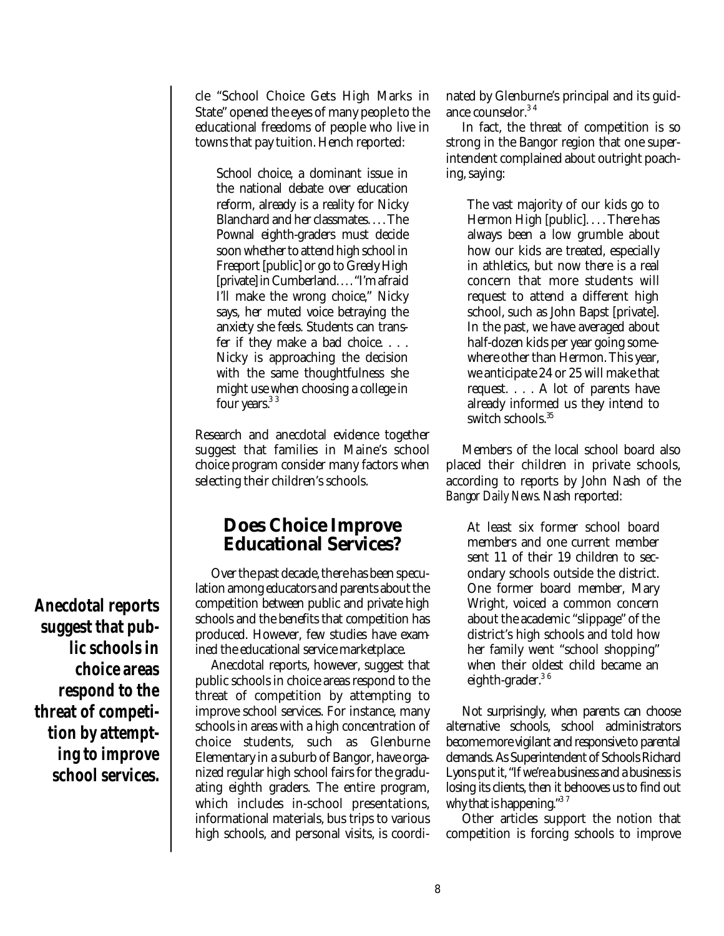cle "School Choice Gets High Marks in State" opened the eyes of many people to the educational freedoms of people who live in towns that pay tuition. Hench reported:

School choice, a dominant issue in the national debate over education reform, already is a reality for Nicky Blanchard and her classmates. . . . The Pownal eighth-graders must decide soon whether to attend high school in Freeport [public] or go to Greely High [private] in Cumberland... "I'm afraid I'll make the wrong choice," Nicky says, her muted voice betraying the anxiety she feels. Students can transfer if they make a bad choice. . . . Nicky is approaching the decision with the same thoughtfulness she might use when choosing a college in four years.<sup>33</sup>

Research and anecdotal evidence together suggest that families in Maine's school choice program consider many factors when selecting their children's schools.

### **Does Choice Improve Educational Services?**

Over the past decade, there has been speculation among educators and parents about the competition between public and private high schools and the benefits that competition has produced. However, few studies have examined the educational service marketplace.

Anecdotal reports, however, suggest that public schools in choice areas respond to the threat of competition by attempting to improve school services. For instance, many schools in areas with a high concentration of choice students, such as Glenburne Elementary in a suburb of Bangor, have organized regular high school fairs for the graduating eighth graders. The entire program, which includes in-school presentations, informational materials, bus trips to various high schools, and personal visits, is coordinated by Glenburne's principal and its guidance counselor. 3 4

In fact, the threat of competition is so strong in the Bangor region that one superintendent complained about outright poaching, saying:

The vast majority of our kids go to Hermon High [public]. . . . There has always been a low grumble about how our kids are treated, especially in athletics, but now there is a real concern that more students will request to attend a different high school, such as John Bapst [private]. In the past, we have averaged about half-dozen kids per year going somewhere other than Hermon. This year, we anticipate 24 or 25 will make that request. . . . A lot of parents have already informed us they intend to switch schools. 35

Members of the local school board also placed their children in private schools, according to reports by John Nash of the *Bangor Daily News*. Nash reported:

At least six former school board members and one current member sent 11 of their 19 children to secondary schools outside the district. One former board member, Mary Wright, voiced a common concern about the academic "slippage" of the district's high schools and told how her family went "school shopping" when their oldest child became an eighth-grader.<sup>36</sup>

Not surprisingly, when parents can choose alternative schools, school administrators become more vigilant and responsive to parental demands. As Superintendent of Schools Richard Lyons put it, "If we're a business and a business is losing its clients, then it behooves us to find out why that is happening." $^{\rm 3.7}$ 

Other articles support the notion that competition is forcing schools to improve

**Anecdotal reports suggest that public schools in choice areas respond to the threat of competition by attempting to improve school services.**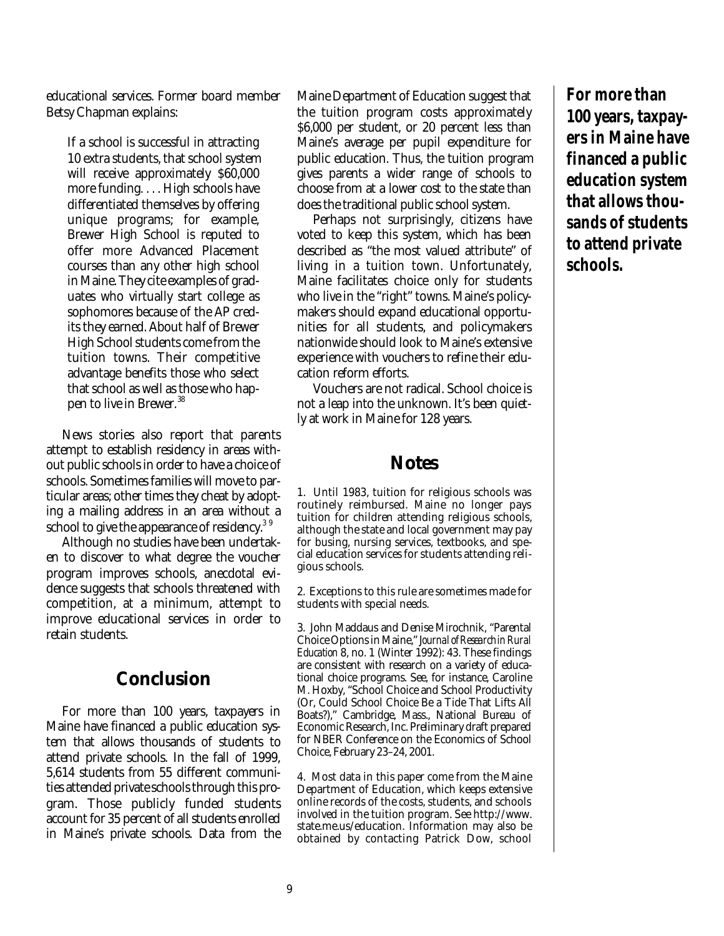educational services. Former board member Betsy Chapman explains:

If a school is successful in attracting 10 extra students, that school system will receive approximately \$60,000 more funding. . . . High schools have differentiated themselves by offering unique programs; for example, Brewer High School is reputed to offer more Advanced Placement courses than any other high school in Maine. They cite examples of graduates who virtually start college as sophomores because of the AP credits they earned. About half of Brewer High School students come from the tuition towns. Their competitive advantage benefits those who select that school as well as those who happen to live in Brewer. 38

News stories also report that parents attempt to establish residency in areas without public schools in order to have a choice of schools. Sometimes families will move to particular areas; other times they cheat by adopting a mailing address in an area without a school to give the appearance of residency. $^{\rm 3 \, 9}$ 

Although no studies have been undertaken to discover to what degree the voucher program improves schools, anecdotal evidence suggests that schools threatened with competition, at a minimum, attempt to improve educational services in order to retain students.

## **Conclusion**

For more than 100 years, taxpayers in Maine have financed a public education system that allows thousands of students to attend private schools. In the fall of 1999, 5,614 students from 55 different communities attended private schools through this program. Those publicly funded students account for 35 percent of all students enrolled in Maine's private schools. Data from the Maine Department of Education suggest that the tuition program costs approximately \$6,000 per student, or 20 percent less than Maine's average per pupil expenditure for public education. Thus, the tuition program gives parents a wider range of schools to choose from at a lower cost to the state than does the traditional public school system.

Perhaps not surprisingly, citizens have voted to keep this system, which has been described as "the most valued attribute" of living in a tuition town. Unfortunately, Maine facilitates choice only for students who live in the "right" towns. Maine's policymakers should expand educational opportunities for all students, and policymakers nationwide should look to Maine's extensive experience with vouchers to refine their education reform efforts.

Vouchers are not radical. School choice is not a leap into the unknown. It's been quietly at work in Maine for 128 years.

#### **Notes**

1. Until 1983, tuition for religious schools was routinely reimbursed. Maine no longer pays tuition for children attending religious schools, although the state and local government may pay for busing, nursing services, textbooks, and special education services for students attending religious schools.

2. Exceptions to this rule are sometimes made for students with special needs.

3. John Maddaus and Denise Mirochnik, "Parental Choice Options in Maine," J*ournal of Research in Rural Education* 8, no. 1 (Winter 1992): 43. These findings are consistent with research on a variety of educational choice programs. See, for instance, Caroline M. Hoxby, "School Choice and School Productivity (Or, Could School Choice Be a Tide That Lifts All Boats?)," Cambridge, Mass., National Bureau of Economic Research, Inc. Preliminary draft prepared for NBER Conference on the Economics of School Choice, February 23–24, 2001.

4. Most data in this paper come from the Maine Department of Education, which keeps extensive online records of the costs, students, and schools involved in the tuition program. See http://www. state.me.us/education. Information may also be obtained by contacting Patrick Dow, school

**For more than 100 years, taxpayers in Maine have financed a public education system that allows thousands of students to attend private schools.**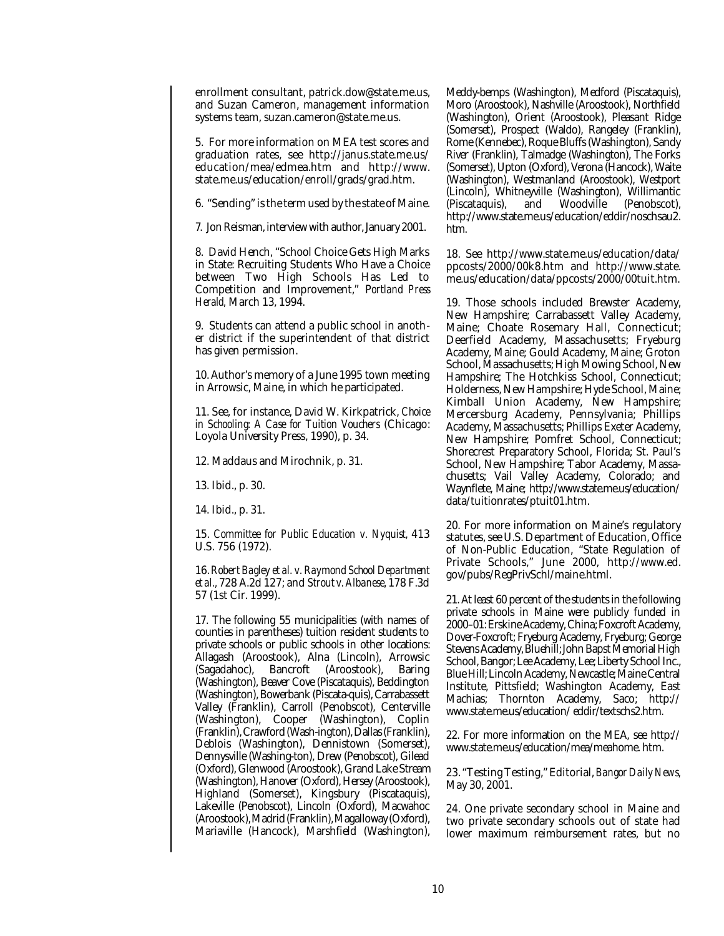enrollment consultant, patrick.dow@state.me.us, and Suzan Cameron, management information systems team, suzan.cameron@state.me.us.

5. For more information on MEA test scores and graduation rates, see http://janus.state.me.us/ education/mea/edmea.htm and http://www. state.me.us/education/enroll/grads/grad.htm.

6. "Sending" is the term used by the state of Maine.

7. Jon Reisman, interview with author, January 2001.

8. David Hench, "School Choice Gets High Marks in State: Recruiting Students Who Have a Choice between Two High Schools Has Led to Competition and Improvement," P*ortland Press Herald,* March 13, 1994.

9. Students can attend a public school in another district if the superintendent of that district has given permission.

10. Author's memory of a June 1995 town meeting in Arrowsic, Maine, in which he participated.

11. See, for instance, David W. Kirkpatrick, *Choice in Schooling: A Case for Tuition Vouchers* (Chicago: Loyola University Press, 1990), p. 34.

12. Maddaus and Mirochnik, p. 31.

13. Ibid., p. 30.

14. Ibid., p. 31.

15. *Committee for Public Education v. Nyquist,* 413 U.S. 756 (1972).

16. *Robert Bagley et al. v. Raymond School Department et al.,* 728 A.2d 127; and *Strout v. Albanese,* 178 F.3d 57 (1st Cir. 1999).

17. The following 55 municipalities (with names of counties in parentheses) tuition resident students to private schools or public schools in other locations: Allagash (Aroostook), Alna (Lincoln), Arrowsic (Sagadahoc), Bancroft (Aroostook), Baring (Washington), Beaver Cove (Piscataquis), Beddington (Washington), Bowerbank (Piscata-quis), Carrabassett Valley (Franklin), Carroll (Penobscot), Centerville (Washington), Cooper (Washington), Coplin (Franklin), Crawford (Wash-ington), Dallas (Franklin), Deblois (Washington), Dennistown (Somerset), Dennysville (Washing-ton), Drew (Penobscot), Gilead (Oxford), Glenwood (Aroostook), Grand Lake Stream (Washington), Hanover (Oxford), Hersey (Aroostook), Highland (Somerset), Kingsbury (Piscataquis), Lakeville (Penobscot), Lincoln (Oxford), Macwahoc (Aroostook), Madrid (Franklin), Magalloway (Oxford), Mariaville (Hancock), Marshfield (Washington),

Meddy-bemps (Washington), Medford (Piscataquis), Moro (Aroostook), Nashville (Aroostook), Northfield (Washington), Orient (Aroostook), Pleasant Ridge (Somerset), Prospect (Waldo), Rangeley (Franklin), Rome (Kennebec), Roque Bluffs (Washington), Sandy River (Franklin), Talmadge (Washington), The Forks (Somerset), Upton (Oxford), Verona (Hancock), Waite (Washington), Westmanland (Aroostook), Westport (Lincoln), Whitneyville (Washington), Willimantic<br>(Piscataquis), and Woodville (Penobscot), (Piscataquis), and Woodville (Penobscot), http://www.state.me.us/education/eddir/noschsau2. htm.

18. See http://www.state.me.us/education/data/ ppcosts/2000/00k8.htm and http://www.state. me.us/education/data/ppcosts/2000/00tuit.htm.

19. Those schools included Brewster Academy, New Hampshire; Carrabassett Valley Academy, Maine; Choate Rosemary Hall, Connecticut; Deerfield Academy, Massachusetts; Fryeburg Academy, Maine; Gould Academy, Maine; Groton School, Massachusetts; High Mowing School, New Hampshire; The Hotchkiss School, Connecticut; Holderness, New Hampshire; Hyde School, Maine; Kimball Union Academy, New Hampshire; Mercersburg Academy, Pennsylvania; Phillips Academy, Massachusetts; Phillips Exeter Academy, New Hampshire; Pomfret School, Connecticut; Shorecrest Preparatory School, Florida; St. Paul's School, New Hampshire; Tabor Academy, Massachusetts; Vail Valley Academy, Colorado; and Waynflete, Maine; http://www.state.me.us/education/ data/tuitionrates/ptuit01.htm.

20. For more information on Maine's regulatory statutes, see U.S. Department of Education, Office of Non-Public Education, "State Regulation of Private Schools," June 2000, http://www.ed. gov/pubs/RegPrivSchl/maine.html.

21. At least 60 percent of the students in the following private schools in Maine were publicly funded in 2000–01: Erskine Academy, China; Foxcroft Academy, Dover-Foxcroft; Fryeburg Academy, Fryeburg; George Stevens Academy, Bluehill; John Bapst Memorial High School, Bangor; Lee Academy, Lee; Liberty School Inc., Blue Hill; Lincoln Academy, Newcastle; Maine Central Institute, Pittsfield; Washington Academy, East Machias; Thornton Academy, Saco; http:// www.state.me.us/education/ eddir/textschs2.htm.

22. For more information on the MEA, see http:// www.state.me.us/education/mea/meahome. htm.

23. "Testing Testing," Editorial, *Bangor Daily News,* May 30, 2001.

24. One private secondary school in Maine and two private secondary schools out of state had lower maximum reimbursement rates, but no